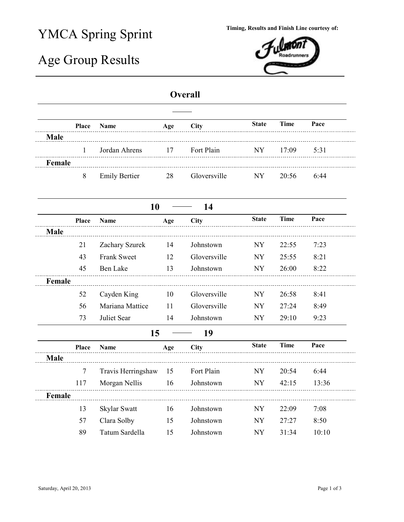## YMCA Spring Sprint

## Age Group Results



## **Overall**

|             | Place  | <b>Name</b>          | Age | City         | <b>State</b> | <b>Time</b> | Pace  |
|-------------|--------|----------------------|-----|--------------|--------------|-------------|-------|
| <b>Male</b> |        |                      |     |              |              |             |       |
|             | 1      | Jordan Ahrens        | 17  | Fort Plain   | <b>NY</b>    | 17:09       | 5:31  |
| Female      |        |                      |     |              |              |             |       |
|             | 8      | <b>Emily Bertier</b> | 28  | Gloversville | <b>NY</b>    | 20:56       | 6:44  |
|             |        | 10                   |     | 14           |              |             |       |
|             | Place  | Name                 | Age | City         | <b>State</b> | <b>Time</b> | Pace  |
| <b>Male</b> |        |                      |     |              |              |             |       |
|             | 21     | Zachary Szurek       | 14  | Johnstown    | <b>NY</b>    | 22:55       | 7:23  |
|             | 43     | <b>Frank Sweet</b>   | 12  | Gloversville | <b>NY</b>    | 25:55       | 8:21  |
|             | 45     | Ben Lake             | 13  | Johnstown    | <b>NY</b>    | 26:00       | 8:22  |
| Female      |        |                      |     |              |              |             |       |
|             | 52     | Cayden King          | 10  | Gloversville | <b>NY</b>    | 26:58       | 8:41  |
|             | 56     | Mariana Mattice      | 11  | Gloversville | <b>NY</b>    | 27:24       | 8:49  |
|             | 73     | Juliet Sear          | 14  | Johnstown    | <b>NY</b>    | 29:10       | 9:23  |
|             |        | 15                   |     | 19           |              |             |       |
|             | Place  | <b>Name</b>          | Age | <b>City</b>  | <b>State</b> | <b>Time</b> | Pace  |
| <b>Male</b> |        |                      |     |              |              |             |       |
|             | $\tau$ | Travis Herringshaw   | 15  | Fort Plain   | <b>NY</b>    | 20:54       | 6:44  |
|             | 117    | Morgan Nellis        | 16  | Johnstown    | <b>NY</b>    | 42:15       | 13:36 |
| Female      |        |                      |     |              |              |             |       |
|             | 13     | Skylar Swatt         | 16  | Johnstown    | <b>NY</b>    | 22:09       | 7:08  |
|             | 57     | Clara Solby          | 15  | Johnstown    | <b>NY</b>    | 27:27       | 8:50  |
|             | 89     | Tatum Sardella       | 15  | Johnstown    | <b>NY</b>    | 31:34       | 10:10 |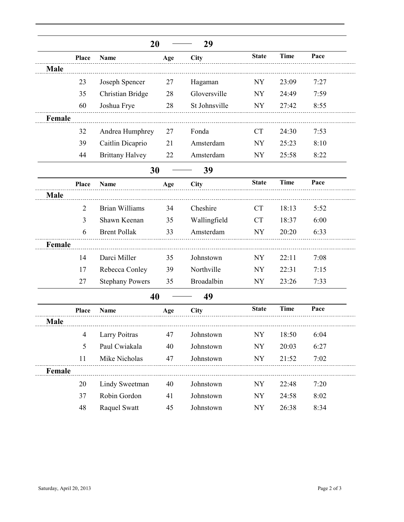|             |                | 20                     |     | 29            |                          |             |      |
|-------------|----------------|------------------------|-----|---------------|--------------------------|-------------|------|
|             | Place          | Name                   | Age | City          | <b>State</b>             | <b>Time</b> | Pace |
| <b>Male</b> |                |                        |     |               |                          |             |      |
|             | 23             | Joseph Spencer         | 27  | Hagaman       | <b>NY</b>                | 23:09       | 7:27 |
|             | 35             | Christian Bridge       | 28  | Gloversville  | <b>NY</b>                | 24:49       | 7:59 |
|             | 60             | Joshua Frye            | 28  | St Johnsville | <b>NY</b>                | 27:42       | 8:55 |
| Female      |                |                        |     |               |                          |             |      |
|             | 32             | Andrea Humphrey        | 27  | Fonda         | <b>CT</b>                | 24:30       | 7:53 |
|             | 39             | Caitlin Dicaprio       | 21  | Amsterdam     | <b>NY</b>                | 25:23       | 8:10 |
|             | 44             | <b>Brittany Halvey</b> | 22  | Amsterdam     | <b>NY</b>                | 25:58       | 8:22 |
|             |                | 30                     |     | 39            |                          |             |      |
|             | Place          | <b>Name</b>            | Age | City          | <b>State</b>             | <b>Time</b> | Pace |
| <b>Male</b> |                |                        |     |               |                          |             |      |
|             | $\overline{2}$ | <b>Brian Williams</b>  | 34  | Cheshire      | <b>CT</b>                | 18:13       | 5:52 |
|             | 3              | Shawn Keenan           | 35  | Wallingfield  | <b>CT</b>                | 18:37       | 6:00 |
|             | 6              | <b>Brent Pollak</b>    | 33  | Amsterdam     | <b>NY</b>                | 20:20       | 6:33 |
| Female      |                |                        |     |               |                          |             |      |
|             | 14             | Darci Miller           | 35  | Johnstown     | <b>NY</b>                | 22:11       | 7:08 |
|             | 17             | Rebecca Conley         | 39  | Northville    | <b>NY</b>                | 22:31       | 7:15 |
|             | 27             | <b>Stephany Powers</b> | 35  | Broadalbin    | <b>NY</b>                | 23:26       | 7:33 |
|             |                | 40                     |     | 49            |                          |             |      |
|             | Place          | <b>Name</b>            | Age | City          | <b>State</b>             | <b>Time</b> | Pace |
| <b>Male</b> |                |                        |     |               |                          |             |      |
|             | $\overline{4}$ | Larry Poitras          | 47  | Johnstown     | $\ensuremath{\text{NY}}$ | 18:50       | 6:04 |
|             | 5              | Paul Cwiakala          | 40  | Johnstown     | NY                       | 20:03       | 6:27 |
|             | 11             | Mike Nicholas          | 47  | Johnstown     | <b>NY</b>                | 21:52       | 7:02 |
| Female      |                |                        |     |               |                          |             |      |
|             | 20             | Lindy Sweetman         | 40  | Johnstown     | NY                       | 22:48       | 7:20 |
|             | 37             | Robin Gordon           | 41  | Johnstown     | <b>NY</b>                | 24:58       | 8:02 |
|             | 48             | Raquel Swatt           | 45  | Johnstown     | <b>NY</b>                | 26:38       | 8:34 |